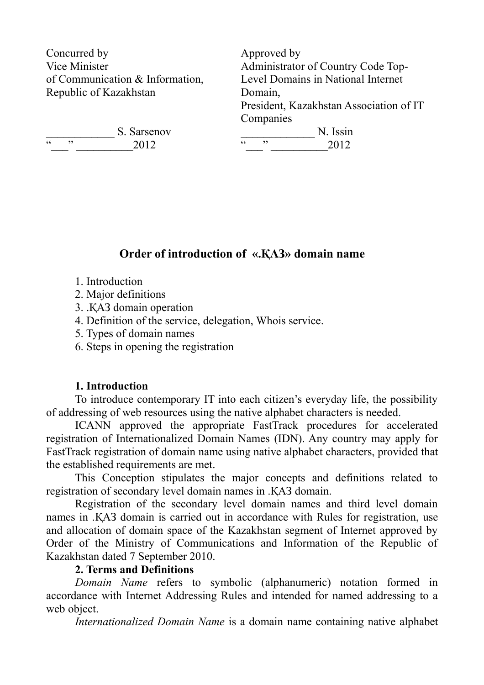Concurred by Vice Minister of Communication & Information, Republic of Kazakhstan

S. Sarsenov "\_\_\_" \_\_\_\_\_\_\_\_\_\_2012

Approved by Administrator of Country Code Top-Level Domains in National Internet Domain, President, Kazakhstan Association of IT **Companies** 

 $\frac{N}{20012}$  N. Issin "\_\_\_" \_\_\_\_\_\_\_\_\_\_2012

# **Order of introduction of «.ҚАЗ» domain name**

- 1. Introduction
- 2. Major definitions
- 3. .ҚАЗ domain operation
- 4. Definition of the service, delegation, Whois service.
- 5. Types of domain names
- 6. Steps in opening the registration

### **1. Introduction**

To introduce contemporary IT into each citizen's everyday life, the possibility of addressing of web resources using the native alphabet characters is needed.

ICANN approved the appropriate FastTrack procedures for accelerated registration of Internationalized Domain Names (IDN). Any country may apply for FastTrack registration of domain name using native alphabet characters, provided that the established requirements are met.

This Conception stipulates the major concepts and definitions related to registration of secondary level domain names in .ҚАЗ domain.

Registration of the secondary level domain names and third level domain names in .ҚАЗ domain is carried out in accordance with Rules for registration, use and allocation of domain space of the Kazakhstan segment of Internet approved by Order of the Ministry of Communications and Information of the Republic of Kazakhstan dated 7 September 2010.

### **2. Terms and Definitions**

*Domain Name* refers to symbolic (alphanumeric) notation formed in accordance with Internet Addressing Rules and intended for named addressing to a web object.

*Internationalized Domain Name* is a domain name containing native alphabet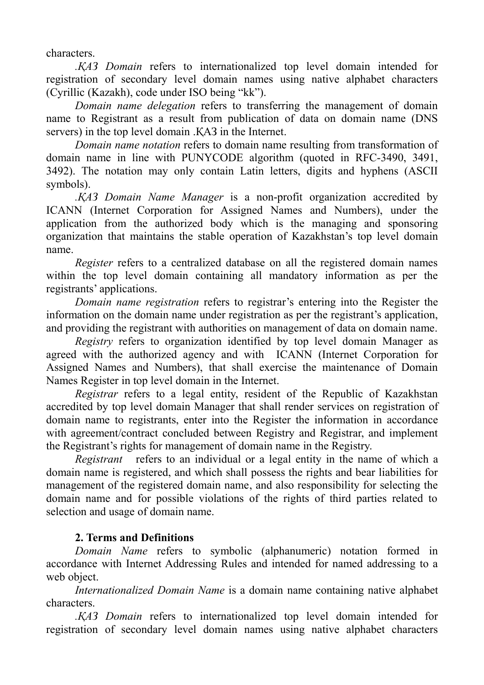characters.

*.ҚАЗ Domain* refers to internationalized top level domain intended for registration of secondary level domain names using native alphabet characters (Cyrillic (Kazakh), code under ISO being "kk").

*Domain name delegation* refers to transferring the management of domain name to Registrant as a result from publication of data on domain name (DNS servers) in the top level domain .ҚАЗ in the Internet.

*Domain name notation* refers to domain name resulting from transformation of domain name in line with PUNYCODE algorithm (quoted in RFC-3490, 3491, 3492). The notation may only contain Latin letters, digits and hyphens (ASCII symbols).

*.ҚАЗ Domain Name Manager* is a non-profit organization accredited by ICANN (Internet Corporation for Assigned Names and Numbers), under the application from the authorized body which is the managing and sponsoring organization that maintains the stable operation of Kazakhstan's top level domain name.

*Register* refers to a centralized database on all the registered domain names within the top level domain containing all mandatory information as per the registrants' applications.

*Domain name registration* refers to registrar's entering into the Register the information on the domain name under registration as per the registrant's application, and providing the registrant with authorities on management of data on domain name.

*Registry* refers to organization identified by top level domain Manager as agreed with the authorized agency and with ICANN (Internet Corporation for Assigned Names and Numbers), that shall exercise the maintenance of Domain Names Register in top level domain in the Internet.

*Registrar* refers to a legal entity, resident of the Republic of Kazakhstan accredited by top level domain Manager that shall render services on registration of domain name to registrants, enter into the Register the information in accordance with agreement/contract concluded between Registry and Registrar, and implement the Registrant's rights for management of domain name in the Registry.

*Registrant* refers to an individual or a legal entity in the name of which a domain name is registered, and which shall possess the rights and bear liabilities for management of the registered domain name, and also responsibility for selecting the domain name and for possible violations of the rights of third parties related to selection and usage of domain name.

### **2. Terms and Definitions**

*Domain Name* refers to symbolic (alphanumeric) notation formed in accordance with Internet Addressing Rules and intended for named addressing to a web object.

*Internationalized Domain Name* is a domain name containing native alphabet characters.

*.ҚАЗ Domain* refers to internationalized top level domain intended for registration of secondary level domain names using native alphabet characters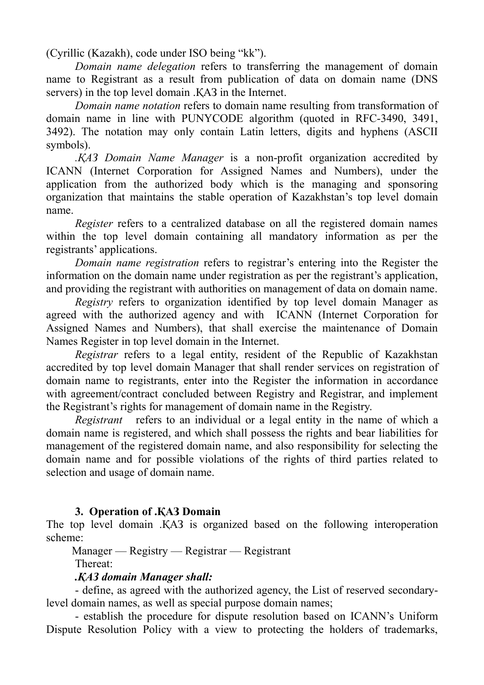(Cyrillic (Kazakh), code under ISO being "kk").

*Domain name delegation* refers to transferring the management of domain name to Registrant as a result from publication of data on domain name (DNS servers) in the top level domain .ҚАЗ in the Internet.

*Domain name notation* refers to domain name resulting from transformation of domain name in line with PUNYCODE algorithm (quoted in RFC-3490, 3491, 3492). The notation may only contain Latin letters, digits and hyphens (ASCII symbols).

*.ҚАЗ Domain Name Manager* is a non-profit organization accredited by ICANN (Internet Corporation for Assigned Names and Numbers), under the application from the authorized body which is the managing and sponsoring organization that maintains the stable operation of Kazakhstan's top level domain name.

*Register* refers to a centralized database on all the registered domain names within the top level domain containing all mandatory information as per the registrants' applications.

*Domain name registration* refers to registrar's entering into the Register the information on the domain name under registration as per the registrant's application, and providing the registrant with authorities on management of data on domain name.

*Registry* refers to organization identified by top level domain Manager as agreed with the authorized agency and with ICANN (Internet Corporation for Assigned Names and Numbers), that shall exercise the maintenance of Domain Names Register in top level domain in the Internet.

*Registrar* refers to a legal entity, resident of the Republic of Kazakhstan accredited by top level domain Manager that shall render services on registration of domain name to registrants, enter into the Register the information in accordance with agreement/contract concluded between Registry and Registrar, and implement the Registrant's rights for management of domain name in the Registry.

*Registrant* refers to an individual or a legal entity in the name of which a domain name is registered, and which shall possess the rights and bear liabilities for management of the registered domain name, and also responsibility for selecting the domain name and for possible violations of the rights of third parties related to selection and usage of domain name.

## **3. Operation of .ҚАЗ Domain**

The top level domain .ҚАЗ is organized based on the following interoperation scheme:

Manager — Registry — Registrar — Registrant

Thereat:

### *.ҚАЗ domain Manager shall:*

- define, as agreed with the authorized agency, the List of reserved secondarylevel domain names, as well as special purpose domain names;

- establish the procedure for dispute resolution based on ICANN's Uniform Dispute Resolution Policy with a view to protecting the holders of trademarks,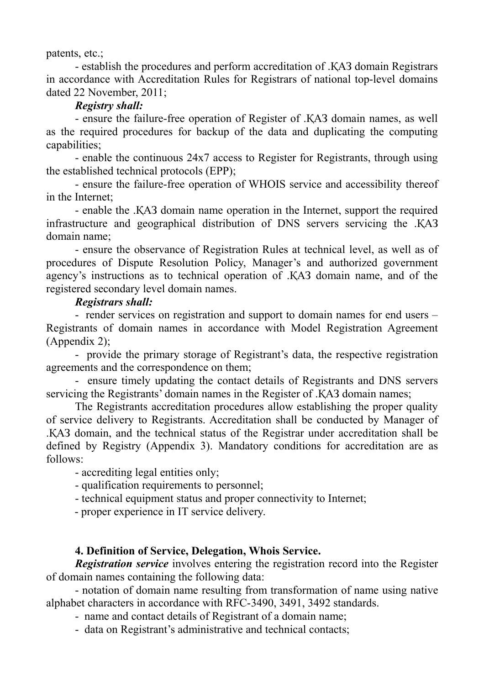patents, etc.;

- establish the procedures and perform accreditation of .ҚАЗ domain Registrars in accordance with [Accreditation Rules](http://nic.kz/srs/accreditation.jsp) for Registrars of national top-level domains dated 22 November, 2011;

## *Registry shall:*

- ensure the failure-free operation of Register of .ҚАЗ domain names, as well as the required procedures for backup of the data and duplicating the computing capabilities;

- enable the continuous 24х7 access to Register for Registrants, through using the established technical protocols (EPP);

- ensure the failure-free operation of WHOIS service and accessibility thereof in the Internet;

- enable the .ҚАЗ domain name operation in the Internet, support the required infrastructure and geographical distribution of DNS servers servicing the .ҚАЗ domain name;

- ensure the observance of Registration Rules at technical level, as well as of procedures of Dispute Resolution Policy, Manager's and authorized government agency's instructions as to technical operation of .ҚАЗ domain name, and of the registered secondary level domain names.

## *Registrars shall:*

- render services on registration and support to domain names for end users – Registrants of domain names in accordance with Model Registration Agreement (Appendix 2);

- provide the primary storage of Registrant's data, the respective registration agreements and the correspondence on them;

- ensure timely updating the contact details of Registrants and DNS servers servicing the Registrants' domain names in the Register of .KA3 domain names;

The Registrants accreditation procedures allow establishing the proper quality of service delivery to Registrants. Accreditation shall be conducted by Manager of .ҚАЗ domain, and the technical status of the Registrar under accreditation shall be defined by Registry (Appendix 3). Mandatory conditions for accreditation are as follows:

- accrediting legal entities only;

- qualification requirements to personnel;

- technical equipment status and proper connectivity to Internet;

- proper experience in IT service delivery.

### **4. Definition of Service, Delegation, Whois Service.**

*Registration service* involves entering the registration record into the Register of domain names containing the following data:

- notation of domain name resulting from transformation of name using native alphabet characters in accordance with RFC-3490, 3491, 3492 standards.

- name and contact details of Registrant of a domain name;

- data on Registrant's administrative and technical contacts;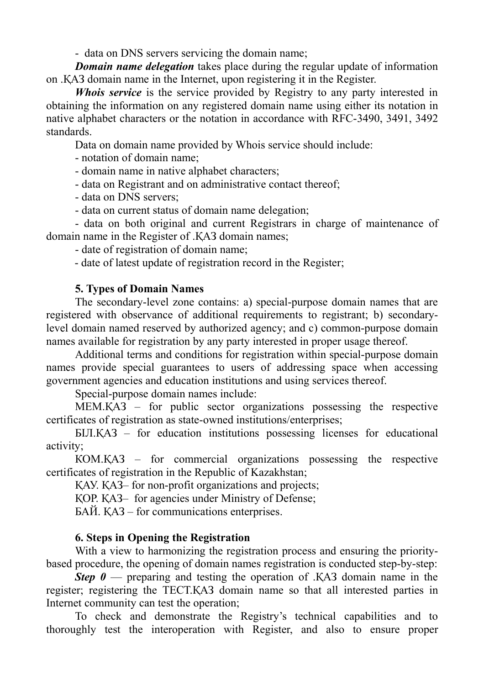- data on DNS servers servicing the domain name;

*Domain name delegation* takes place during the regular update of information on .ҚАЗ domain name in the Internet, upon registering it in the Register.

*Whois service* is the service provided by Registry to any party interested in obtaining the information on any registered domain name using either its notation in native alphabet characters or the notation in accordance with RFC-3490, 3491, 3492 standards.

Data on domain name provided by Whois service should include:

- notation of domain name;

- domain name in native alphabet characters;

- data on Registrant and on administrative contact thereof;

- data on DNS servers;

- data on current status of domain name delegation;

- data on both original and current Registrars in charge of maintenance of domain name in the Register of .ҚАЗ domain names;

- date of registration of domain name;

- date of latest update of registration record in the Register;

## **5. Types of Domain Names**

The secondary-level zone contains: a) special-purpose domain names that are registered with observance of additional requirements to registrant; b) secondarylevel domain named reserved by authorized agency; and c) common-purpose domain names available for registration by any party interested in proper usage thereof.

Additional terms and conditions for registration within special-purpose domain names provide special guarantees to users of addressing space when accessing government agencies and education institutions and using services thereof.

Special-purpose domain names include:

МЕМ.ҚАЗ – for public sector organizations possessing the respective certificates of registration as state-owned institutions/enterprises;

БIЛ.ҚАЗ – for education institutions possessing licenses for educational activity;

КОМ.ҚАЗ – for commercial organizations possessing the respective certificates of registration in the Republic of Kazakhstan;

ҚАУ. ҚАЗ– for non-profit organizations and projects;

ҚОР. ҚАЗ– for agencies under Ministry of Defense;

БАЙ. ҚАЗ – for communications enterprises.

## **6. Steps in Opening the Registration**

With a view to harmonizing the registration process and ensuring the prioritybased procedure, the opening of domain names registration is conducted step-by-step:

*Step*  $\theta$  — preparing and testing the operation of .KA3 domain name in the register; registering the ТЕСТ.ҚАЗ domain name so that all interested parties in Internet community can test the operation;

To check and demonstrate the Registry's technical capabilities and to thoroughly test the interoperation with Register, and also to ensure proper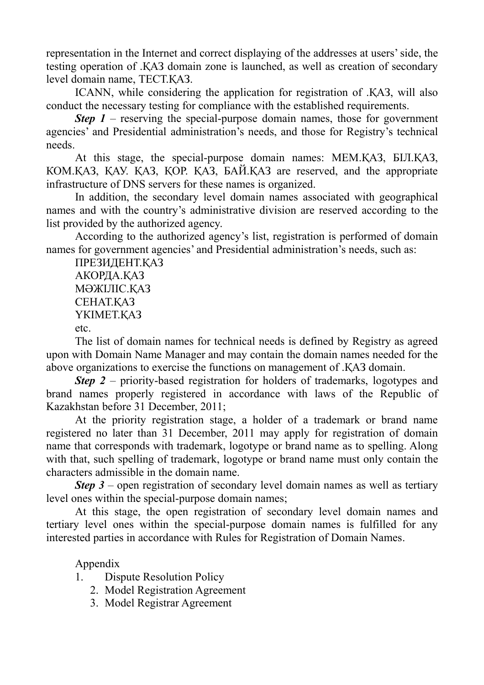representation in the Internet and correct displaying of the addresses at users' side, the testing operation of .ҚАЗ domain zone is launched, as well as creation of secondary level domain name, ТЕСТ.ҚАЗ.

ICANN, while considering the application for registration of .ҚАЗ, will also conduct the necessary testing for compliance with the established requirements.

*Step*  $1$  – reserving the special-purpose domain names, those for government agencies' and Presidential administration's needs, and those for Registry's technical needs.

At this stage, the special-purpose domain names: МЕМ.ҚАЗ, БIЛ.ҚАЗ, КОМ.ҚАЗ, ҚАУ. ҚАЗ, ҚОР. ҚАЗ, БАЙ.ҚАЗ are reserved, and the appropriate infrastructure of DNS servers for these names is organized.

In addition, the secondary level domain names associated with geographical names and with the country's administrative division are reserved according to the list provided by the authorized agency.

According to the authorized agency's list, registration is performed of domain names for government agencies' and Presidential administration's needs, such as:

ПРЕЗИДЕНТ.ҚАЗ АКОРДА.ҚАЗ МӘЖІЛІС.ҚАЗ СЕНАТ.ҚАЗ ҮКІМЕТ.ҚАЗ etc.

The list of domain names for technical needs is defined by Registry as agreed upon with Domain Name Manager and may contain the domain names needed for the above organizations to exercise the functions on management of .ҚАЗ domain.

*Step* 2 – priority-based registration for holders of trademarks, logotypes and brand names properly registered in accordance with laws of the Republic of Kazakhstan before 31 December, 2011;

At the priority registration stage, a holder of a trademark or brand name registered no later than 31 December, 2011 may apply for registration of domain name that corresponds with trademark, logotype or brand name as to spelling. Along with that, such spelling of trademark, logotype or brand name must only contain the characters admissible in the domain name.

*Step* 3 – open registration of secondary level domain names as well as tertiary level ones within the special-purpose domain names;

At this stage, the open registration of secondary level domain names and tertiary level ones within the special-purpose domain names is fulfilled for any interested parties in accordance with Rules for Registration of Domain Names.

Appendix

- 1. Dispute Resolution Policy
	- 2. Model Registration Agreement
	- 3. Model Registrar Agreement